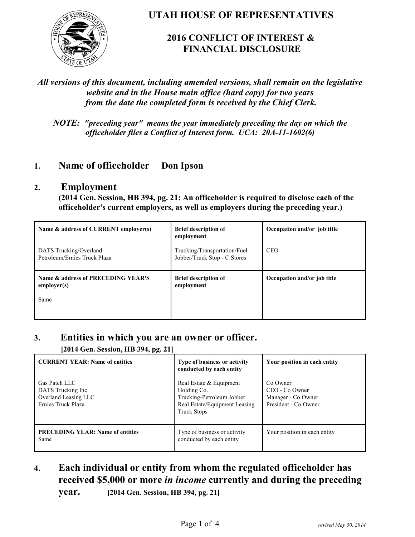

**UTAH HOUSE OF REPRESENTATIVES**

# **2016 CONFLICT OF INTEREST & FINANCIAL DISCLOSURE**

#### *All versions of this document, including amended versions, shall remain on the legislative website and in the House main office (hard copy) for two years from the date the completed form is received by the Chief Clerk.*

*NOTE: "preceding year" means the year immediately preceding the day on which the officeholder files a Conflict of Interest form. UCA: 20A-11-1602(6)*

## **1. Name of officeholder Don Ipson**

#### **2. Employment**

**(2014 Gen. Session, HB 394, pg. 21: An officeholder is required to disclose each of the officeholder's current employers, as well as employers during the preceding year.)**

| Name & address of CURRENT employer(s)                     | <b>Brief description of</b><br>employment                    | Occupation and/or job title |
|-----------------------------------------------------------|--------------------------------------------------------------|-----------------------------|
| DATS Trucking/Overland<br>Petroleum/Ernies Truck Plaza    | Trucking/Transportation/Fuel<br>Jobber/Truck Stop - C Stores | <b>CEO</b>                  |
| Name & address of PRECEDING YEAR'S<br>employer(s)<br>Same | <b>Brief description of</b><br>employment                    | Occupation and/or job title |

### **3. Entities in which you are an owner or officer.**

**[2014 Gen. Session, HB 394, pg. 21]**

| 77 P. 200                                                                         |                                                                                                                            |                                                                          |
|-----------------------------------------------------------------------------------|----------------------------------------------------------------------------------------------------------------------------|--------------------------------------------------------------------------|
| <b>CURRENT YEAR: Name of entities</b>                                             | Type of business or activity<br>conducted by each entity                                                                   | Your position in each entity                                             |
| Gas Patch LLC<br>DATS Trucking Inc.<br>Overland Leasing LLC<br>Ernies Truck Plaza | Real Estate & Equipment<br>Holding Co.<br>Trucking-Petroleum Jobber<br>Real Estate/Equipment Leasing<br><b>Truck Stops</b> | Co Owner<br>CEO - Co Owner<br>Manager - Co Owner<br>President - Co Owner |
| <b>PRECEDING YEAR: Name of entities</b><br>Same                                   | Type of business or activity<br>conducted by each entity                                                                   | Your position in each entity                                             |

# **4. Each individual or entity from whom the regulated officeholder has received \$5,000 or more** *in income* **currently and during the preceding**

**year. [2014 Gen. Session, HB 394, pg. 21]**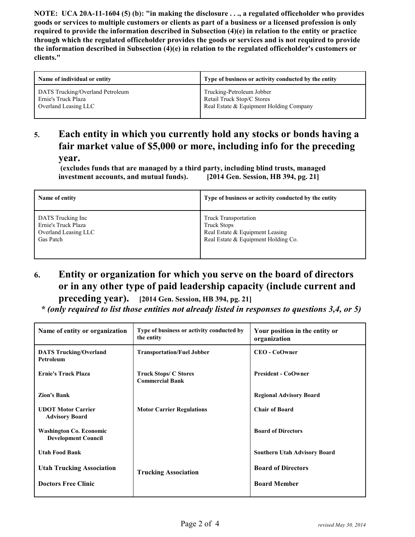**NOTE: UCA 20A-11-1604 (5) (b): "in making the disclosure . . ., a regulated officeholder who provides goods or services to multiple customers or clients as part of a business or a licensed profession is only required to provide the information described in Subsection (4)(e) in relation to the entity or practice through which the regulated officeholder provides the goods or services and is not required to provide the information described in Subsection (4)(e) in relation to the regulated officeholder's customers or clients."**

| Name of individual or entity     | Type of business or activity conducted by the entity |
|----------------------------------|------------------------------------------------------|
| DATS Trucking/Overland Petroleum | Trucking-Petroleum Jobber                            |
| Ernie's Truck Plaza              | Retail Truck Stop/C Stores                           |
| Overland Leasing LLC             | Real Estate & Equipment Holding Company              |

# **5. Each entity in which you currently hold any stocks or bonds having a fair market value of \$5,000 or more, including info for the preceding year.**

 **(excludes funds that are managed by a third party, including blind trusts, managed investment accounts, and mutual funds). [2014 Gen. Session, HB 394, pg. 21]**

| Name of entity       | Type of business or activity conducted by the entity |
|----------------------|------------------------------------------------------|
| DATS Trucking Inc    | <b>Truck Transportation</b>                          |
| Ernie's Truck Plaza  | <b>Truck Stops</b>                                   |
| Overland Leasing LLC | Real Estate & Equipment Leasing                      |
| Gas Patch            | Real Estate & Equipment Holding Co.                  |

**6. Entity or organization for which you serve on the board of directors or in any other type of paid leadership capacity (include current and**

**preceding year). [2014 Gen. Session, HB 394, pg. 21]**

 *\* (only required to list those entities not already listed in responses to questions 3,4, or 5)*

| Name of entity or organization                               | Type of business or activity conducted by<br>the entity | Your position in the entity or<br>organization |
|--------------------------------------------------------------|---------------------------------------------------------|------------------------------------------------|
| <b>DATS Trucking/Overland</b><br>Petroleum                   | <b>Transportation/Fuel Jobber</b>                       | <b>CEO - CoOwner</b>                           |
| <b>Ernie's Truck Plaza</b>                                   | <b>Truck Stops/ C Stores</b><br><b>Commercial Bank</b>  | <b>President - CoOwner</b>                     |
| <b>Zion's Bank</b>                                           |                                                         | <b>Regional Advisory Board</b>                 |
| <b>UDOT Motor Carrier</b><br><b>Advisory Board</b>           | <b>Motor Carrier Regulations</b>                        | <b>Chair of Board</b>                          |
| <b>Washington Co. Economic</b><br><b>Development Council</b> |                                                         | <b>Board of Directors</b>                      |
| <b>Utah Food Bank</b>                                        |                                                         | <b>Southern Utah Advisory Board</b>            |
| <b>Utah Trucking Association</b>                             | <b>Trucking Association</b>                             | <b>Board of Directors</b>                      |
| <b>Doctors Free Clinic</b>                                   |                                                         | <b>Board Member</b>                            |
|                                                              |                                                         |                                                |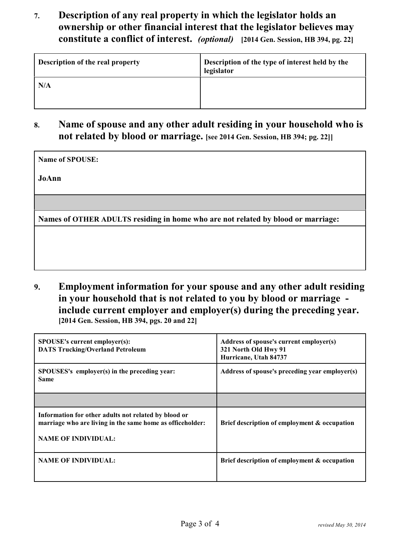**7. Description of any real property in which the legislator holds an ownership or other financial interest that the legislator believes may constitute a conflict of interest.** *(optional)* **[2014 Gen. Session, HB 394, pg. 22]**

| <b>Description of the real property</b> | Description of the type of interest held by the<br>legislator |
|-----------------------------------------|---------------------------------------------------------------|
| N/A                                     |                                                               |

**8. Name of spouse and any other adult residing in your household who is not related by blood or marriage. [see 2014 Gen. Session, HB 394; pg. 22]]**

| Name of SPOUSE:                                                                  |
|----------------------------------------------------------------------------------|
| JoAnn                                                                            |
|                                                                                  |
|                                                                                  |
| Names of OTHER ADULTS residing in home who are not related by blood or marriage: |
|                                                                                  |
|                                                                                  |
|                                                                                  |
|                                                                                  |

**9. Employment information for your spouse and any other adult residing in your household that is not related to you by blood or marriage include current employer and employer(s) during the preceding year. [2014 Gen. Session, HB 394, pgs. 20 and 22]**

| <b>SPOUSE's current employer(s):</b><br><b>DATS Trucking/Overland Petroleum</b>                                                                 | Address of spouse's current employer(s)<br>321 North Old Hwy 91<br>Hurricane, Utah 84737 |
|-------------------------------------------------------------------------------------------------------------------------------------------------|------------------------------------------------------------------------------------------|
| SPOUSES's employer(s) in the preceding year:<br><b>Same</b>                                                                                     | Address of spouse's preceding year employer(s)                                           |
|                                                                                                                                                 |                                                                                          |
| Information for other adults not related by blood or<br>marriage who are living in the same home as officeholder:<br><b>NAME OF INDIVIDUAL:</b> | Brief description of employment & occupation                                             |
| <b>NAME OF INDIVIDUAL:</b>                                                                                                                      | Brief description of employment & occupation                                             |